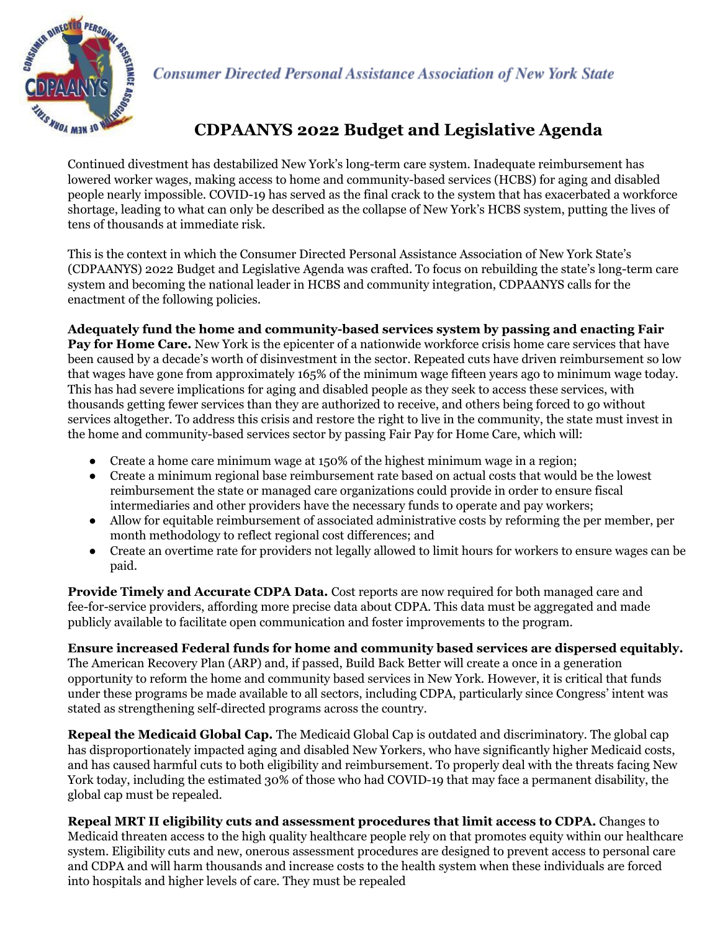

**Consumer Directed Personal Assistance Association of New York State** 

## **CDPAANYS 2022 Budget and Legislative Agenda**

Continued divestment has destabilized New York's long-term care system. Inadequate reimbursement has lowered worker wages, making access to home and community-based services (HCBS) for aging and disabled people nearly impossible. COVID-19 has served as the final crack to the system that has exacerbated a workforce shortage, leading to what can only be described as the collapse of New York's HCBS system, putting the lives of tens of thousands at immediate risk.

This is the context in which the Consumer Directed Personal Assistance Association of New York State's (CDPAANYS) 2022 Budget and Legislative Agenda was crafted. To focus on rebuilding the state's long-term care system and becoming the national leader in HCBS and community integration, CDPAANYS calls for the enactment of the following policies.

**Adequately fund the home and community-based services system by passing and enacting Fair**

**Pay for Home Care.** New York is the epicenter of a nationwide workforce crisis home care services that have been caused by a decade's worth of disinvestment in the sector. Repeated cuts have driven reimbursement so low that wages have gone from approximately 165% of the minimum wage fifteen years ago to minimum wage today. This has had severe implications for aging and disabled people as they seek to access these services, with thousands getting fewer services than they are authorized to receive, and others being forced to go without services altogether. To address this crisis and restore the right to live in the community, the state must invest in the home and community-based services sector by passing Fair Pay for Home Care, which will:

- Create a home care minimum wage at 150% of the highest minimum wage in a region;
- Create a minimum regional base reimbursement rate based on actual costs that would be the lowest reimbursement the state or managed care organizations could provide in order to ensure fiscal intermediaries and other providers have the necessary funds to operate and pay workers;
- Allow for equitable reimbursement of associated administrative costs by reforming the per member, per month methodology to reflect regional cost differences; and
- Create an overtime rate for providers not legally allowed to limit hours for workers to ensure wages can be paid.

**Provide Timely and Accurate CDPA Data.** Cost reports are now required for both managed care and fee-for-service providers, affording more precise data about CDPA. This data must be aggregated and made publicly available to facilitate open communication and foster improvements to the program.

## **Ensure increased Federal funds for home and community based services are dispersed equitably.**

The American Recovery Plan (ARP) and, if passed, Build Back Better will create a once in a generation opportunity to reform the home and community based services in New York. However, it is critical that funds under these programs be made available to all sectors, including CDPA, particularly since Congress' intent was stated as strengthening self-directed programs across the country.

**Repeal the Medicaid Global Cap.** The Medicaid Global Cap is outdated and discriminatory. The global cap has disproportionately impacted aging and disabled New Yorkers, who have significantly higher Medicaid costs, and has caused harmful cuts to both eligibility and reimbursement. To properly deal with the threats facing New York today, including the estimated 30% of those who had COVID-19 that may face a permanent disability, the global cap must be repealed.

**Repeal MRT II eligibility cuts and assessment procedures that limit access to CDPA.** Changes to Medicaid threaten access to the high quality healthcare people rely on that promotes equity within our healthcare system. Eligibility cuts and new, onerous assessment procedures are designed to prevent access to personal care and CDPA and will harm thousands and increase costs to the health system when these individuals are forced into hospitals and higher levels of care. They must be repealed